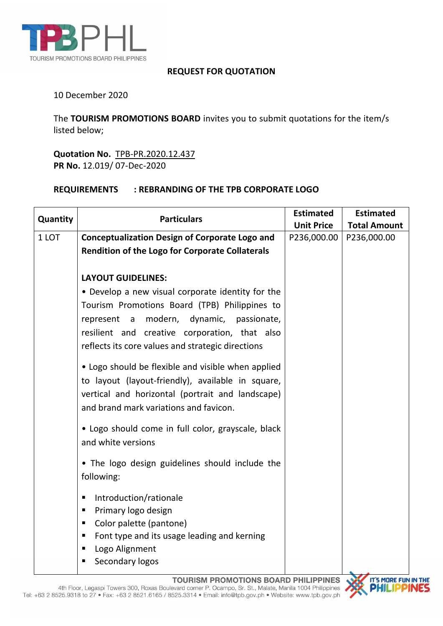

## **REQUEST FOR QUOTATION**

## 10 December 2020

The **TOURISM PROMOTIONS BOARD** invites you to submit quotations for the item/s listed below;

**Quotation No.** TPB-PR.2020.12.437 **PR No.** 12.019/ 07-Dec-2020

## **REQUIREMENTS : REBRANDING OF THE TPB CORPORATE LOGO**

|          | <b>Particulars</b>                                     | <b>Estimated</b>  | <b>Estimated</b>    |
|----------|--------------------------------------------------------|-------------------|---------------------|
| Quantity |                                                        | <b>Unit Price</b> | <b>Total Amount</b> |
| 1 LOT    | <b>Conceptualization Design of Corporate Logo and</b>  | P236,000.00       | P236,000.00         |
|          | <b>Rendition of the Logo for Corporate Collaterals</b> |                   |                     |
|          |                                                        |                   |                     |
|          | <b>LAYOUT GUIDELINES:</b>                              |                   |                     |
|          | • Develop a new visual corporate identity for the      |                   |                     |
|          | Tourism Promotions Board (TPB) Philippines to          |                   |                     |
|          | represent a modern, dynamic, passionate,               |                   |                     |
|          | resilient and creative corporation, that also          |                   |                     |
|          | reflects its core values and strategic directions      |                   |                     |
|          |                                                        |                   |                     |
|          | • Logo should be flexible and visible when applied     |                   |                     |
|          | to layout (layout-friendly), available in square,      |                   |                     |
|          | vertical and horizontal (portrait and landscape)       |                   |                     |
|          | and brand mark variations and favicon.                 |                   |                     |
|          | • Logo should come in full color, grayscale, black     |                   |                     |
|          | and white versions                                     |                   |                     |
|          |                                                        |                   |                     |
|          | . The logo design guidelines should include the        |                   |                     |
|          | following:                                             |                   |                     |
|          | Introduction/rationale<br>٠                            |                   |                     |
|          | Primary logo design<br>٠                               |                   |                     |
|          | Color palette (pantone)<br>٠                           |                   |                     |
|          | Font type and its usage leading and kerning<br>٠       |                   |                     |
|          | Logo Alignment<br>٠                                    |                   |                     |
|          | Secondary logos<br>٠                                   |                   |                     |
|          |                                                        |                   |                     |

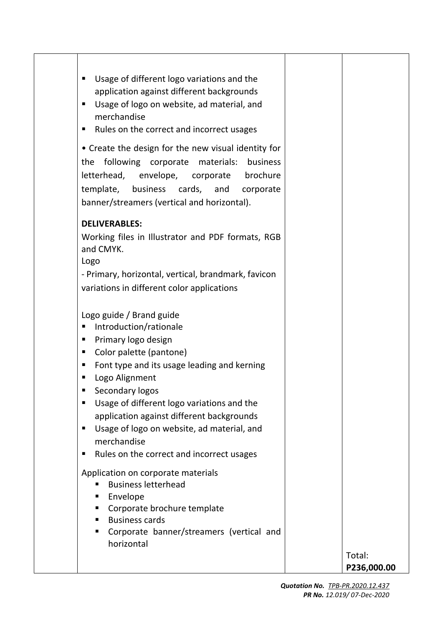| Usage of different logo variations and the<br>٠<br>application against different backgrounds<br>Usage of logo on website, ad material, and<br>٠<br>merchandise<br>Rules on the correct and incorrect usages<br>٠<br>• Create the design for the new visual identity for                                                                                                                                                                    |                       |
|--------------------------------------------------------------------------------------------------------------------------------------------------------------------------------------------------------------------------------------------------------------------------------------------------------------------------------------------------------------------------------------------------------------------------------------------|-----------------------|
| following corporate materials:<br>business<br>the<br>letterhead, envelope, corporate<br>brochure<br>template, business cards, and corporate<br>banner/streamers (vertical and horizontal).                                                                                                                                                                                                                                                 |                       |
| <b>DELIVERABLES:</b>                                                                                                                                                                                                                                                                                                                                                                                                                       |                       |
| Working files in Illustrator and PDF formats, RGB<br>and CMYK.<br>Logo<br>- Primary, horizontal, vertical, brandmark, favicon<br>variations in different color applications                                                                                                                                                                                                                                                                |                       |
| Logo guide / Brand guide<br>Introduction/rationale<br>٠<br>Primary logo design<br>п<br>Color palette (pantone)<br>п<br>Font type and its usage leading and kerning<br>п<br>Logo Alignment<br>٠<br>Secondary logos<br>٠<br>Usage of different logo variations and the<br>٠<br>application against different backgrounds<br>Usage of logo on website, ad material, and<br>٠<br>merchandise<br>Rules on the correct and incorrect usages<br>п |                       |
| Application on corporate materials<br><b>Business letterhead</b><br>■<br>Envelope<br>٠<br>Corporate brochure template<br>٠<br><b>Business cards</b><br>■<br>Corporate banner/streamers (vertical and<br>٠<br>horizontal                                                                                                                                                                                                                    | Total:<br>P236,000.00 |